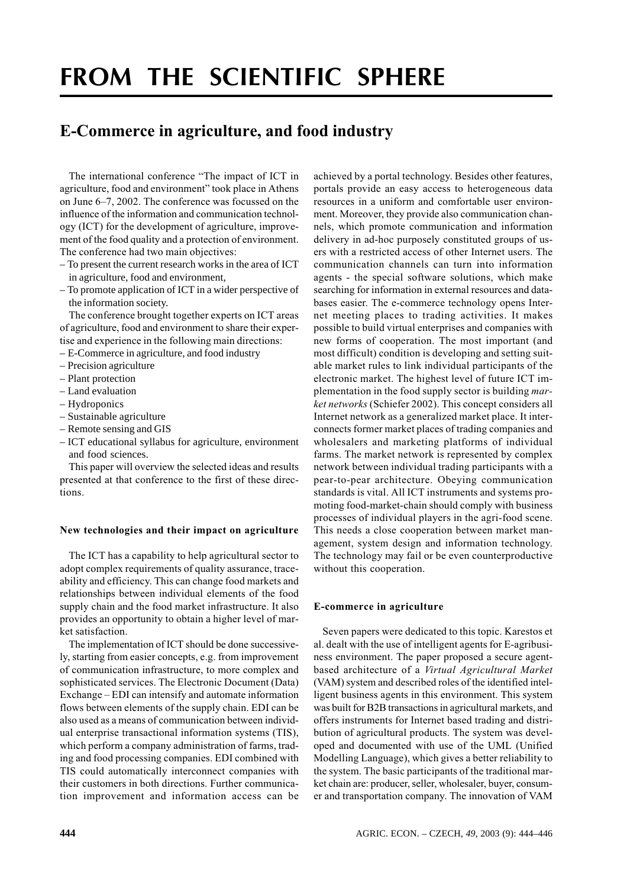# **FROM THE SCIENTIFIC SPHERE**

# **E-Commerce in agriculture, and food industry**

The international conference "The impact of ICT in agriculture, food and environment" took place in Athens on June 6–7, 2002. The conference was focussed on the influence of the information and communication technology (ICT) for the development of agriculture, improvement of the food quality and a protection of environment. The conference had two main objectives:

- To present the current research works in the area of ICT in agriculture, food and environment,
- To promote application of ICT in a wider perspective of the information society.

The conference brought together experts on ICT areas of agriculture, food and environment to share their expertise and experience in the following main directions:

- E-Commerce in agriculture, and food industry
- Precision agriculture
- Plant protection
- Land evaluation
- Hydroponics
- $-$  Sustainable agriculture
- Remote sensing and GIS
- ICT educational syllabus for agriculture, environment and food sciences.

This paper will overview the selected ideas and results presented at that conference to the first of these directions.

#### New technologies and their impact on agriculture

The ICT has a capability to help agricultural sector to adopt complex requirements of quality assurance, traceability and efficiency. This can change food markets and relationships between individual elements of the food supply chain and the food market infrastructure. It also provides an opportunity to obtain a higher level of market satisfaction.

The implementation of ICT should be done successively, starting from easier concepts, e.g. from improvement of communication infrastructure, to more complex and sophisticated services. The Electronic Document (Data) Exchange – EDI can intensify and automate information flows between elements of the supply chain. EDI can be also used as a means of communication between individual enterprise transactional information systems (TIS), which perform a company administration of farms, trading and food processing companies. EDI combined with TIS could automatically interconnect companies with their customers in both directions. Further communication improvement and information access can be achieved by a portal technology. Besides other features, portals provide an easy access to heterogeneous data resources in a uniform and comfortable user environment. Moreover, they provide also communication channels, which promote communication and information delivery in ad-hoc purposely constituted groups of users with a restricted access of other Internet users. The communication channels can turn into information agents - the special software solutions, which make searching for information in external resources and databases easier. The e-commerce technology opens Internet meeting places to trading activities. It makes possible to build virtual enterprises and companies with new forms of cooperation. The most important (and most difficult) condition is developing and setting suitable market rules to link individual participants of the electronic market. The highest level of future ICT implementation in the food supply sector is building *mar*ket networks (Schiefer 2002). This concept considers all Internet network as a generalized market place. It interconnects former market places of trading companies and wholesalers and marketing platforms of individual farms. The market network is represented by complex network between individual trading participants with a pear-to-pear architecture. Obeying communication standards is vital. All ICT instruments and systems promoting food-market-chain should comply with business processes of individual players in the agri-food scene. This needs a close cooperation between market management, system design and information technology. The technology may fail or be even counterproductive without this cooperation.

#### **E-commerce in agriculture**

Seven papers were dedicated to this topic. Karestos et al. dealt with the use of intelligent agents for E-agribusiness environment. The paper proposed a secure agentbased architecture of a Virtual Agricultural Market (VAM) system and described roles of the identified intelligent business agents in this environment. This system was built for B2B transactions in agricultural markets, and offers instruments for Internet based trading and distribution of agricultural products. The system was developed and documented with use of the UML (Unified Modelling Language), which gives a better reliability to the system. The basic participants of the traditional market chain are: producer, seller, wholesaler, buyer, consumer and transportation company. The innovation of VAM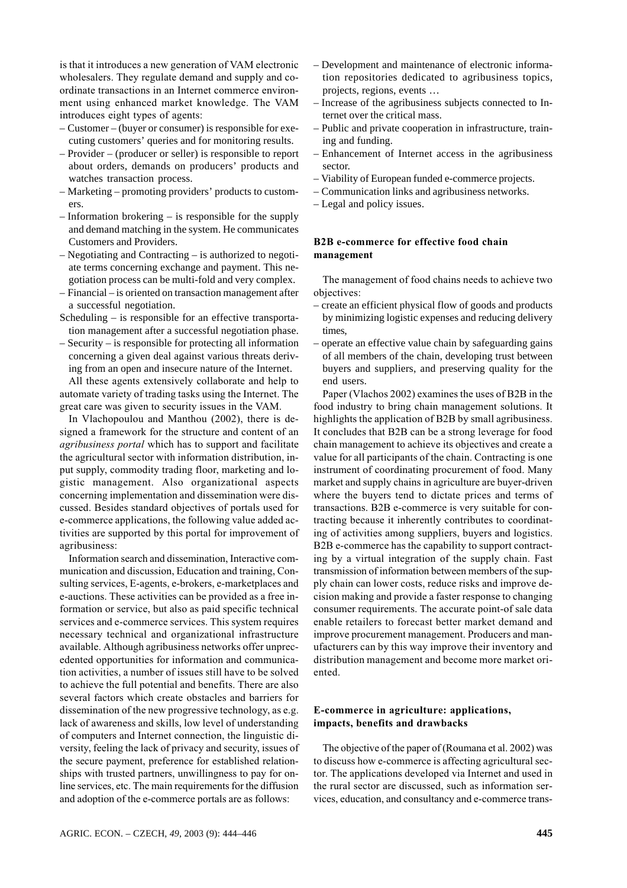is that it introduces a new generation of VAM electronic wholesalers. They regulate demand and supply and coordinate transactions in an Internet commerce environment using enhanced market knowledge. The VAM introduces eight types of agents:

- Customer (buyer or consumer) is responsible for executing customers' queries and for monitoring results.
- Provider (producer or seller) is responsible to report about orders, demands on producers' products and watches transaction process.
- Marketing promoting providers' products to customers.
- Information brokering is responsible for the supply and demand matching in the system. He communicates Customers and Providers.
- Negotiating and Contracting is authorized to negotiate terms concerning exchange and payment. This negotiation process can be multi-fold and very complex.
- Financial is oriented on transaction management after a successful negotiation.
- Scheduling is responsible for an effective transportation management after a successful negotiation phase.
- Security is responsible for protecting all information concerning a given deal against various threats deriving from an open and insecure nature of the Internet.

All these agents extensively collaborate and help to automate variety of trading tasks using the Internet. The great care was given to security issues in the VAM.

In Vlachopoulou and Manthou (2002), there is designed a framework for the structure and content of an agribusiness portal which has to support and facilitate the agricultural sector with information distribution, input supply, commodity trading floor, marketing and logistic management. Also organizational aspects concerning implementation and dissemination were discussed. Besides standard objectives of portals used for e-commerce applications, the following value added activities are supported by this portal for improvement of agribusiness:

Information search and dissemination, Interactive communication and discussion, Education and training, Consulting services, E-agents, e-brokers, e-marketplaces and e-auctions. These activities can be provided as a free information or service, but also as paid specific technical services and e-commerce services. This system requires necessary technical and organizational infrastructure available. Although agribusiness networks offer unprecedented opportunities for information and communication activities, a number of issues still have to be solved to achieve the full potential and benefits. There are also several factors which create obstacles and barriers for dissemination of the new progressive technology, as e.g. lack of awareness and skills, low level of understanding of computers and Internet connection, the linguistic diversity, feeling the lack of privacy and security, issues of the secure payment, preference for established relationships with trusted partners, unwillingness to pay for online services, etc. The main requirements for the diffusion and adoption of the e-commerce portals are as follows:

- Development and maintenance of electronic information repositories dedicated to agribusiness topics, projects, regions, events …
- Increase of the agribusiness subjects connected to Internet over the critical mass.
- Public and private cooperation in infrastructure, training and funding.
- Enhancement of Internet access in the agribusiness sector.
- Viability of European funded e-commerce projects.
- Communication links and agribusiness networks.
- Legal and policy issues.

### B2B e-commerce for effective food chain management

The management of food chains needs to achieve two objectives:

- create an efficient physical flow of goods and products by minimizing logistic expenses and reducing delivery times,
- operate an effective value chain by safeguarding gains of all members of the chain, developing trust between buyers and suppliers, and preserving quality for the end users.

Paper (Vlachos 2002) examines the uses of B2B in the food industry to bring chain management solutions. It highlights the application of B2B by small agribusiness. It concludes that B2B can be a strong leverage for food chain management to achieve its objectives and create a value for all participants of the chain. Contracting is one instrument of coordinating procurement of food. Many market and supply chains in agriculture are buyer-driven where the buyers tend to dictate prices and terms of transactions. B2B e-commerce is very suitable for contracting because it inherently contributes to coordinating of activities among suppliers, buyers and logistics. B2B e-commerce has the capability to support contracting by a virtual integration of the supply chain. Fast transmission of information between members of the supply chain can lower costs, reduce risks and improve decision making and provide a faster response to changing consumer requirements. The accurate point-of sale data enable retailers to forecast better market demand and improve procurement management. Producers and manufacturers can by this way improve their inventory and distribution management and become more market oriented.

# **E-commerce in agriculture: applications,** impacts, benefits and drawbacks

The objective of the paper of (Roumana et al. 2002) was to discuss how e-commerce is affecting agricultural sector. The applications developed via Internet and used in the rural sector are discussed, such as information services, education, and consultancy and e-commerce trans